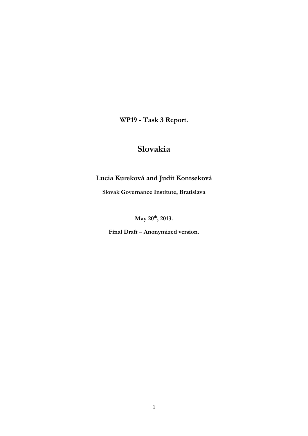**WP19 - Task 3 Report.** 

# **Slovakia**

# **Lucia Kureková and Judit Kontseková**

**Slovak Governance Institute, Bratislava**

**May 20th, 2013.**

**Final Draft – Anonymized version.**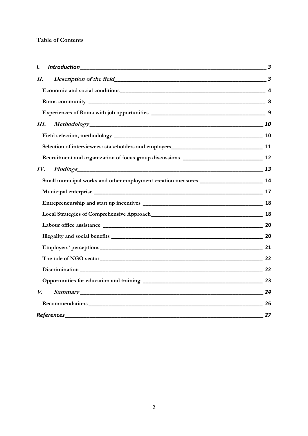# **Table of Contents**

| I.                |                                                                                          | $\overline{\mathbf{3}}$ |  |  |  |  |
|-------------------|------------------------------------------------------------------------------------------|-------------------------|--|--|--|--|
| II.               |                                                                                          |                         |  |  |  |  |
|                   |                                                                                          |                         |  |  |  |  |
|                   |                                                                                          |                         |  |  |  |  |
|                   |                                                                                          | 9                       |  |  |  |  |
| III.              |                                                                                          |                         |  |  |  |  |
|                   |                                                                                          |                         |  |  |  |  |
|                   |                                                                                          |                         |  |  |  |  |
|                   |                                                                                          |                         |  |  |  |  |
| IV.               |                                                                                          |                         |  |  |  |  |
|                   | Small municipal works and other employment creation measures ________________________ 14 |                         |  |  |  |  |
|                   |                                                                                          | 17                      |  |  |  |  |
|                   |                                                                                          |                         |  |  |  |  |
|                   |                                                                                          |                         |  |  |  |  |
|                   |                                                                                          |                         |  |  |  |  |
|                   |                                                                                          |                         |  |  |  |  |
|                   |                                                                                          | 21                      |  |  |  |  |
|                   |                                                                                          |                         |  |  |  |  |
|                   |                                                                                          |                         |  |  |  |  |
|                   |                                                                                          |                         |  |  |  |  |
| V.                |                                                                                          |                         |  |  |  |  |
|                   |                                                                                          |                         |  |  |  |  |
| <b>References</b> |                                                                                          |                         |  |  |  |  |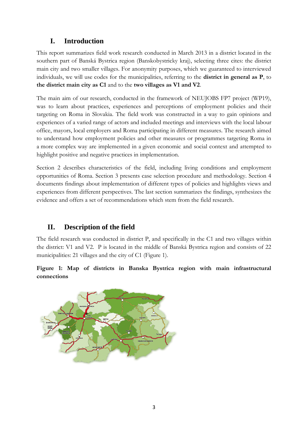# **I. Introduction**

<span id="page-2-0"></span>This report summarizes field work research conducted in March 2013 in a district located in the southern part of Banská Bystrica region (Banskobystricky kraj), selecting three cites: the district main city and two smaller villages. For anonymity purposes, which we guaranteed to interviewed individuals, we will use codes for the municipalities, referring to the **district in general as P**, to **the district main city as C1** and to the **two villages as V1 and V2**.

The main aim of our research, conducted in the framework of NEUJOBS FP7 project (WP19), was to learn about practices, experiences and perceptions of employment policies and their targeting on Roma in Slovakia. The field work was constructed in a way to gain opinions and experiences of a varied range of actors and included meetings and interviews with the local labour office, mayors, local employers and Roma participating in different measures. The research aimed to understand how employment policies and other measures or programmes targeting Roma in a more complex way are implemented in a given economic and social context and attempted to highlight positive and negative practices in implementation.

Section 2 describes characteristics of the field, including living conditions and employment opportunities of Roma. Section 3 presents case selection procedure and methodology. Section 4 documents findings about implementation of different types of policies and highlights views and experiences from different perspectives. The last section summarizes the findings, synthesizes the evidence and offers a set of recommendations which stem from the field research.

# <span id="page-2-1"></span>**II. Description of the field**

The field research was conducted in district P, and specifically in the C1 and two villages within the district: V1 and V2. P is located in the middle of Banská Bystrica region and consists of 22 municipalities: 21 villages and the city of C1 (Figure 1).

**Figure 1: Map of districts in Banska Bystrica region with main infrastructural connections**

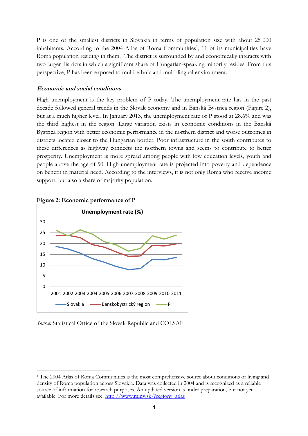<span id="page-3-0"></span>P is one of the smallest districts in Slovakia in terms of population size with about 25 000 inhabitants. According to the 2004 Atlas of Roma Communities<sup>1</sup>, 11 of its municipalities have Roma population residing in them. The district is surrounded by and economically interacts with two larger districts in which a significant share of Hungarian-speaking minority resides. From this perspective, P has been exposed to multi-ethnic and multi-lingual environment.

### **Economic and social conditions**

High unemployment is the key problem of P today. The unemployment rate has in the past decade followed general trends in the Slovak economy and in Banská Bystrica region (Figure 2), but at a much higher level. In January 2013, the unemployment rate of P stood at 28.6% and was the third highest in the region. Large variation exists in economic conditions in the Banská Bystrica region with better economic performance in the northern district and worse outcomes in districts located closer to the Hungarian border. Poor infrastructure in the south contributes to these differences as highway connects the northern towns and seems to contribute to better prosperity. Unemployment is more spread among people with low education levels, youth and people above the age of 50. High unemployment rate is projected into poverty and dependence on benefit in material need. According to the interviews, it is not only Roma who receive income support, but also a share of majority population.



**Figure 2: Economic performance of P**

*Source*: Statistical Office of the Slovak Republic and COLSAF.

1

<sup>&</sup>lt;sup>1</sup> The 2004 Atlas of Roma Communities is the most comprehensive source about conditions of living and density of Roma population across Slovakia. Data was collected in 2004 and is recognized as a reliable source of information for research purposes. An updated version is under preparation, but not yet available. For more details see: [http://www.minv.sk/?regiony\\_atlas](http://www.minv.sk/?regiony_atlas)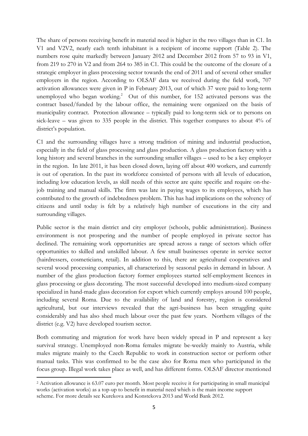The share of persons receiving benefit in material need is higher in the two villages than in C1. In V1 and V2V2, nearly each tenth inhabitant is a recipient of income support (Table 2). The numbers rose quite markedly between January 2012 and December 2012 from 57 to 93 in V1, from 219 to 270 in V2 and from 264 to 385 in C1. This could be the outcome of the closure of a strategic employer in glass processing sector towards the end of 2011 and of several other smaller employers in the region. According to OLSAF data we received during the field work, 707 activation allowances were given in P in February 2013, out of which 37 were paid to long-term unemployed who began working.<sup>2</sup> Out of this number, for 152 activated persons was the contract based/funded by the labour office, the remaining were organized on the basis of municipality contract. Protection allowance – typically paid to long-term sick or to persons on sick-leave – was given to 335 people in the district. This together compares to about 4% of district's population.

C1 and the surrounding villages have a strong tradition of mining and industrial production, especially in the field of glass processing and glass production. A glass production factory with a long history and several branches in the surrounding smaller villages – used to be a key employer in the region. In late 2011, it has been closed down, laying off about 400 workers, and currently is out of operation. In the past its workforce consisted of persons with all levels of education, including low education levels, as skill needs of this sector are quite specific and require on-thejob training and manual skills. The firm was late in paying wages to its employees, which has contributed to the growth of indebtedness problem. This has had implications on the solvency of citizens and until today is felt by a relatively high number of executions in the city and surrounding villages.

Public sector is the main district and city employer (schools, public administration). Business environment is not prospering and the number of people employed in private sector has declined. The remaining work opportunities are spread across a range of sectors which offer opportunities to skilled and unskilled labour. A few small businesses operate in service sector (hairdressers, cosmeticians, retail). In addition to this, there are agricultural cooperatives and several wood processing companies, all characterized by seasonal peaks in demand in labour. A number of the glass production factory former employees started self-employment licences in glass processing or glass decorating. The most successful developed into medium-sized company specialized in hand-made glass decoration for export which currently employs around 100 people, including several Roma. Due to the availability of land and forestry, region is considered agricultural, but our interviews revealed that the agri-business has been struggling quite considerably and has also shed much labour over the past few years. Northern villages of the district (e.g. V2) have developed tourism sector.

Both commuting and migration for work have been widely spread in P and represent a key survival strategy. Unemployed non-Roma females migrate be-weekly mainly to Austria, while males migrate mainly to the Czech Republic to work in construction sector or perform other manual tasks. This was confirmed to be the case also for Roma men who participated in the focus group. Illegal work takes place as well, and has different forms. OLSAF director mentioned

1

<sup>2</sup> Activation allowance is 63.07 euro per month. Most people receive it for participating in small municipal works (activation works) as a top-up to benefit in material need which is the main income support scheme. For more details see Kurekova and Konstekova 2013 and World Bank 2012.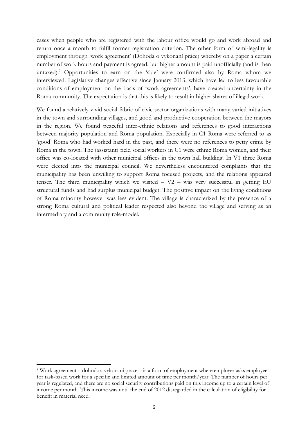cases when people who are registered with the labour office would go and work abroad and return once a month to fulfil former registration criterion. The other form of semi-legality is employment through 'work agreement' (Dohoda o vykonaní práce) whereby on a paper a certain number of work hours and payment is agreed, but higher amount is paid unofficially (and is then untaxed).<sup>3</sup> Opportunities to earn on the 'side' were confirmed also by Roma whom we interviewed. Legislative changes effective since January 2013, which have led to less favourable conditions of employment on the basis of 'work agreements', have created uncertainty in the Roma community. The expectation is that this is likely to result in higher shares of illegal work.

We found a relatively vivid social fabric of civic sector organizations with many varied initiatives in the town and surrounding villages, and good and productive cooperation between the mayors in the region. We found peaceful inter-ethnic relations and references to good interactions between majority population and Roma population. Especially in C1 Roma were referred to as 'good' Roma who had worked hard in the past, and there were no references to petty crime by Roma in the town. The (assistant) field social workers in C1 were ethnic Roma women, and their office was co-located with other municipal offices in the town hall building. In V1 three Roma were elected into the municipal council. We nevertheless encountered complaints that the municipality has been unwilling to support Roma focused projects, and the relations appeared tenser. The third municipality which we visited – V2 – was very successful in getting EU structural funds and had surplus municipal budget. The positive impact on the living conditions of Roma minority however was less evident. The village is characterized by the presence of a strong Roma cultural and political leader respected also beyond the village and serving as an intermediary and a community role-model.

1

<sup>3</sup> Work agreement – dohoda a vykonani prace – is a form of employment where employer asks employee for task-based work for a specific and limited amount of time per month/year. The number of hours per year is regulated, and there are no social security contributions paid on this income up to a certain level of income per month. This income was until the end of 2012 disregarded in the calculation of eligibility for benefit in material need.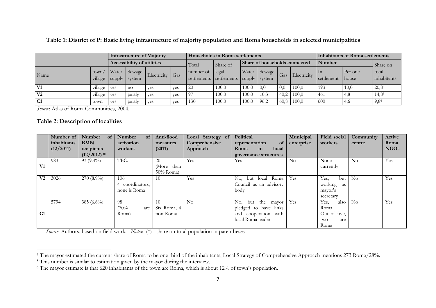**Table 1: District of P: Basic living infrastructure of majority population and Roma households in selected municipalities**

|                |                  | Infrastructure of Majority        |                  |                 | <b>Households in Roma settlements</b> |                 |                                       |       |                   | Inhabitants of Roma settlements |             |                  |                  |                      |
|----------------|------------------|-----------------------------------|------------------|-----------------|---------------------------------------|-----------------|---------------------------------------|-------|-------------------|---------------------------------|-------------|------------------|------------------|----------------------|
|                |                  | <b>Accessibility of utilities</b> |                  |                 | Share of<br>Total                     |                 | Share of households connected         |       |                   | Number                          |             | Share on         |                  |                      |
| Name           | town/<br>village | Water<br>supply                   | Sewage<br>system | Electricity Gas |                                       | number of legal | settlements settlements supply system |       | Water Sewage      | Gas                             | Electricity | In<br>settlement | Per one<br>house | total<br>inhabitants |
| V1             | village          | ves                               | no               | ves             | ves                                   | 20              | 100,0                                 | 100.0 | $\vert 0,0 \vert$ | 0,0                             | 100,0       | 193              | 10,0             | 20,8 <sup>4</sup>    |
| V <sub>2</sub> | village          | ves                               | partly           | ves             | ves                                   | <u>97</u>       | 100,0                                 | 100,0 | 10.3              | 40.2                            | 100,0       | -461             |                  | $14,8^5$             |
| C <sub>1</sub> | town             | ves                               | partly           | ves             | ves                                   | 130             | 100,0                                 | 100,0 | 96,2              | 60,8                            | 100,0       | 600              | 4,6              | 9,8 <sup>6</sup>     |

*Source*: Atlas of Roma Communities, 2004.

#### **Table 2: Description of localities**

1

|                | Number of   | Number<br>$of \vert$ | Number<br>$\alpha$ | Anti-flood   | Local Strategy of | Political                   | Municipal  | Field social | Community      | Active      |
|----------------|-------------|----------------------|--------------------|--------------|-------------------|-----------------------------|------------|--------------|----------------|-------------|
|                | inhabitants | <b>BMN</b>           | activation         | measures     | Comprehensive     | representation<br><b>of</b> | enterprise | workers      | centre         | Roma        |
|                | (12/2011)   | recipients           | workers            | (2011)       | Approach          | in<br>Roma<br>local         |            |              |                | <b>NGOs</b> |
|                |             | $(12/2012)$ *        |                    |              |                   | governance structures       |            |              |                |             |
|                | 983         | $93(9.4\%)$          | TBC.               | 20           | Yes               | Yes                         | $\rm No$   | None         | $\rm No$       | Yes         |
| V1             |             |                      |                    | (More than   |                   |                             |            | currently    |                |             |
|                |             |                      |                    | $50\%$ Roma) |                   |                             |            |              |                |             |
| V <sub>2</sub> | 3026        | $270(8.9\%)$         | 106                | 10           | Yes               | No, but local Roma          | Yes        | Yes,<br>but  | N <sub>0</sub> | Yes         |
|                |             |                      | coordinators,<br>4 |              |                   | Council as an advisory      |            | working as   |                |             |
|                |             |                      | none is Roma       |              |                   | body                        |            | mayor's      |                |             |
|                |             |                      |                    |              |                   |                             |            | secretary    |                |             |
|                | 5794        | 385 $(6.6\%)$        | 98                 | 10           | No                | but the mayor<br>No.        | Yes        | Yes.<br>also | $\rm No$       | Yes         |
|                |             |                      | (70%<br>are        | Six Roma, 4  |                   | pledged to have links       |            | Roma         |                |             |
| C1             |             |                      | Roma)              | non-Roma     |                   | and cooperation with        |            | Out of five, |                |             |
|                |             |                      |                    |              |                   | local Roma leader           |            | two<br>are   |                |             |
|                |             |                      |                    |              |                   |                             |            | Roma         |                |             |

*Source*: Authors, based on field work. *Notes*: (\*) - share on total population in parentheses

<sup>&</sup>lt;sup>4</sup> The mayor estimated the current share of Roma to be one third of the inhabitants, Local Strategy of Comprehensive Approach mentions 273 Roma/28%.

<sup>&</sup>lt;sup>5</sup> This number is similar to estimation given by the mayor during the interview.

<sup>6</sup> The mayor estimate is that 620 inhabitants of the town are Roma, which is about 12% of town's population.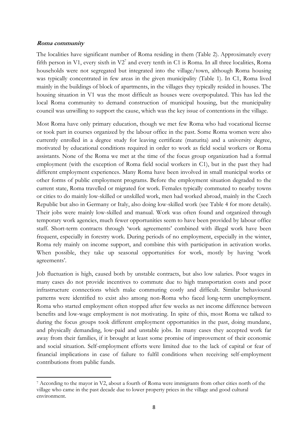#### <span id="page-7-0"></span>**Roma community**

1

The localities have significant number of Roma residing in them (Table 2). Approximately every fifth person in V1, every sixth in  $V2<sup>7</sup>$  and every tenth in C1 is Roma. In all three localities, Roma households were not segregated but integrated into the village/town, although Roma housing was typically concentrated in few areas in the given municipality (Table 1). In C1, Roma lived mainly in the buildings of block of apartments, in the villages they typically resided in houses. The housing situation in V1 was the most difficult as houses were overpopulated. This has led the local Roma community to demand construction of municipal housing, but the municipality council was unwilling to support the cause, which was the key issue of contentions in the village.

Most Roma have only primary education, though we met few Roma who had vocational license or took part in courses organized by the labour office in the past. Some Roma women were also currently enrolled in a degree study for leaving certificate (maturita) and a university degree, motivated by educational conditions required in order to work as field social workers or Roma assistants. None of the Roma we met at the time of the focus group organization had a formal employment (with the exception of Roma field social workers in C1), but in the past they had different employment experiences. Many Roma have been involved in small municipal works or other forms of public employment programs. Before the employment situation degraded to the current state, Roma travelled or migrated for work. Females typically commuted to nearby towns or cities to do mainly low-skilled or unskilled work, men had worked abroad, mainly in the Czech Republic but also in Germany or Italy, also doing low-skilled work (see Table 4 for more details). Their jobs were mainly low-skilled and manual. Work was often found and organized through temporary work agencies, much fewer opportunities seem to have been provided by labour office staff. Short-term contracts through 'work agreements' combined with illegal work have been frequent, especially in forestry work. During periods of no employment, especially in the winter, Roma rely mainly on income support, and combine this with participation in activation works. When possible, they take up seasonal opportunities for work, mostly by having 'work agreements'.

Job fluctuation is high, caused both by unstable contracts, but also low salaries. Poor wages in many cases do not provide incentives to commute due to high transportation costs and poor infrastructure connections which make commuting costly and difficult. Similar behavioural patterns were identified to exist also among non-Roma who faced long-term unemployment. Roma who started employment often stopped after few weeks as net income difference between benefits and low-wage employment is not motivating. In spite of this, most Roma we talked to during the focus groups took different employment opportunities in the past, doing mundane, and physically demanding, low-paid and unstable jobs. In many cases they accepted work far away from their families, if it brought at least some promise of improvement of their economic and social situation. Self-employment efforts were limited due to the lack of capital or fear of financial implications in case of failure to fulfil conditions when receiving self-employment contributions from public funds.

<sup>7</sup> According to the mayor in V2, about a fourth of Roma were immigrants from other cities north of the village who came in the past decade due to lower property prices in the village and good cultural environment.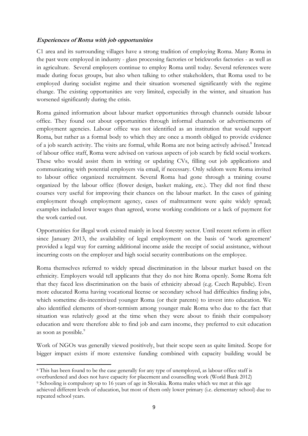# <span id="page-8-0"></span>**Experiences of Roma with job opportunities**

C1 area and its surrounding villages have a strong tradition of employing Roma. Many Roma in the past were employed in industry - glass processing factories or brickworks factories - as well as in agriculture. Several employers continue to employ Roma until today. Several references were made during focus groups, but also when talking to other stakeholders, that Roma used to be employed during socialist regime and their situation worsened significantly with the regime change. The existing opportunities are very limited, especially in the winter, and situation has worsened significantly during the crisis.

Roma gained information about labour market opportunities through channels outside labour office. They found out about opportunities through informal channels or advertisements of employment agencies. Labour office was not identified as an institution that would support Roma, but rather as a formal body to which they are once a month obliged to provide evidence of a job search activity. The visits are formal, while Roma are not being actively advised.<sup>8</sup> Instead of labour office staff, Roma were advised on various aspects of job search by field social workers. These who would assist them in writing or updating CVs, filling out job applications and communicating with potential employers via email, if necessary. Only seldom were Roma invited to labour office organized recruitment. Several Roma had gone through a training course organized by the labour office (flower design, basket making, etc.). They did not find these courses very useful for improving their chances on the labour market. In the cases of gaining employment though employment agency, cases of maltreatment were quite widely spread; examples included lower wages than agreed, worse working conditions or a lack of payment for the work carried out.

Opportunities for illegal work existed mainly in local forestry sector. Until recent reform in effect since January 2013, the availability of legal employment on the basis of 'work agreement' provided a legal way for earning additional income aside the receipt of social assistance, without incurring costs on the employer and high social security contributions on the employee.

Roma themselves referred to widely spread discrimination in the labour market based on the ethnicity. Employers would tell applicants that they do not hire Roma openly. Some Roma felt that they faced less discrimination on the basis of ethnicity abroad (e.g. Czech Republic). Even more educated Roma having vocational license or secondary school had difficulties finding jobs, which sometime dis-incentivized younger Roma (or their parents) to invest into education. We also identified elements of short-termism among younger male Roma who due to the fact that situation was relatively good at the time when they were about to finish their compulsory education and were therefore able to find job and earn income, they preferred to exit education as soon as possible.<sup>9</sup>

Work of NGOs was generally viewed positively, but their scope seen as quite limited. Scope for bigger impact exists if more extensive funding combined with capacity building would be

<sup>1</sup> <sup>8</sup> This has been found to be the case generally for any type of unemployed, as labour office staff is overburdened and does not have capacity for placement and counselling work (World Bank 2012)

<sup>9</sup> Schooling is compulsory up to 16 years of age in Slovakia. Roma males which we met at this age achieved different levels of education, but most of them only lower primary (i.e. elementary school) due to repeated school years.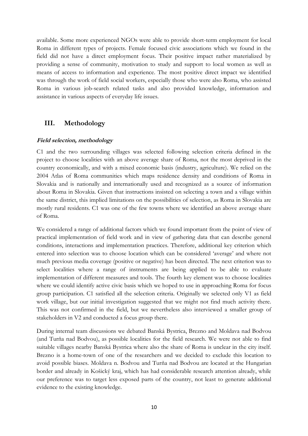available. Some more experienced NGOs were able to provide short-term employment for local Roma in different types of projects. Female focused civic associations which we found in the field did not have a direct employment focus. Their positive impact rather materialized by providing a sense of community, motivation to study and support to local women as well as means of access to information and experience. The most positive direct impact we identified was through the work of field social workers, especially those who were also Roma, who assisted Roma in various job-search related tasks and also provided knowledge, information and assistance in various aspects of everyday life issues.

# <span id="page-9-0"></span>**III. Methodology**

### <span id="page-9-1"></span>**Field selection, methodology**

C1 and the two surrounding villages was selected following selection criteria defined in the project to choose localities with an above average share of Roma, not the most deprived in the country economically, and with a mixed economic basis (industry, agriculture). We relied on the 2004 Atlas of Roma communities which maps residence density and conditions of Roma in Slovakia and is nationally and internationally used and recognized as a source of information about Roma in Slovakia. Given that instructions insisted on selecting a town and a village within the same district, this implied limitations on the possibilities of selection, as Roma in Slovakia are mostly rural residents. C1 was one of the few towns where we identified an above average share of Roma.

We considered a range of additional factors which we found important from the point of view of practical implementation of field work and in view of gathering data that can describe general conditions, interactions and implementation practices. Therefore, additional key criterion which entered into selection was to choose location which can be considered 'average' and where not much previous media coverage (positive or negative) has been directed. The next criterion was to select localities where a range of instruments are being applied to be able to evaluate implementation of different measures and tools. The fourth key element was to choose localities where we could identify active civic basis which we hoped to use in approaching Roma for focus group participation. C1 satisfied all the selection criteria. Originally we selected only V1 as field work village, but our initial investigation suggested that we might not find much activity there. This was not confirmed in the field, but we nevertheless also interviewed a smaller group of stakeholders in V2 and conducted a focus group there.

During internal team discussions we debated Banská Bystrica, Brezno and Moldava nad Bodvou (and Turňa nad Bodvou), as possible localities for the field research. We were not able to find suitable villages nearby Banská Bystrica where also the share of Roma is unclear in the city itself. Brezno is a home-town of one of the researchers and we decided to exclude this location to avoid possible biases. Moldava n. Bodvou and Turňa nad Bodvou are located at the Hungarian border and already in Košický kraj, which has had considerable research attention already, while our preference was to target less exposed parts of the country, not least to generate additional evidence to the existing knowledge.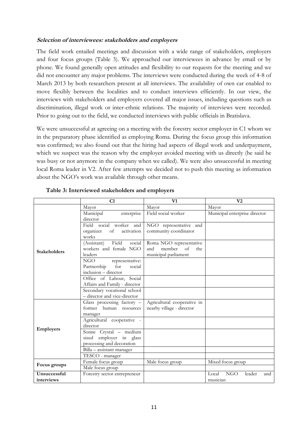### <span id="page-10-0"></span>**Selection of interviewees: stakeholders and employers**

The field work entailed meetings and discussion with a wide range of stakeholders, employers and four focus groups (Table 3). We approached our interviewees in advance by email or by phone. We found generally open attitudes and flexibility to our requests for the meeting and we did not encounter any major problems. The interviews were conducted during the week of 4-8 of March 2013 by both researchers present at all interviews. The availability of own car enabled to move flexibly between the localities and to conduct interviews efficiently. In our view, the interviews with stakeholders and employers covered all major issues, including questions such as discrimination, illegal work or inter-ethnic relations. The majority of interviews were recorded. Prior to going out to the field, we conducted interviews with public officials in Bratislava.

We were unsuccessful at agreeing on a meeting with the forestry sector employer in C1 whom we in the preparatory phase identified as employing Roma. During the focus group this information was confirmed; we also found out that the hiring had aspects of illegal work and underpayment, which we suspect was the reason why the employer avoided meeting with us directly (he said he was busy or not anymore in the company when we called). We were also unsuccessful in meeting local Roma leader in V2. After few attempts we decided not to push this meeting as information about the NGO's work was available through other means.

|                            | C1                                                                                    | V1                                                                            | V <sub>2</sub>                            |
|----------------------------|---------------------------------------------------------------------------------------|-------------------------------------------------------------------------------|-------------------------------------------|
|                            | Mayor                                                                                 | Mayor                                                                         | Mayor                                     |
|                            | Municipal<br>enterprise<br>director                                                   | Field social worker                                                           | Municipal enterprise director             |
|                            | Field social worker and<br>organizer<br>of<br>activation<br>works                     | NGO representative and<br>community coordinator                               |                                           |
| <b>Stakeholders</b>        | Field<br>(Assistant)<br>social<br>workers and female NGO<br>leaders                   | Roma NGO representative<br>of<br>and<br>member<br>the<br>municipal parliament |                                           |
|                            | <b>NGO</b><br>representative:<br>Partnership<br>for<br>social<br>inclusion – director |                                                                               |                                           |
|                            | Office of Labour, Social<br>Affairs and Family - director                             |                                                                               |                                           |
|                            | Secondary vocational school<br>- director and vice-director                           |                                                                               |                                           |
|                            | Glass processing factory -<br>former<br>human resources<br>manager                    | Agricultural cooperative in<br>nearby village - director                      |                                           |
| <b>Employers</b>           | Agricultural cooperative -<br>director                                                |                                                                               |                                           |
|                            | Sonne Crystal - medium<br>sized employer in glass<br>processing and decoration        |                                                                               |                                           |
|                            | Billa - assistant manager<br>TESCO - manager                                          |                                                                               |                                           |
| Focus groups               | Female focus group                                                                    | Male focus group                                                              | Mixed focus group                         |
|                            | Male focus group                                                                      |                                                                               |                                           |
| Unsuccessful<br>interviews | Forestry sector entrepreneur                                                          |                                                                               | NGO<br>leader<br>Local<br>and<br>musician |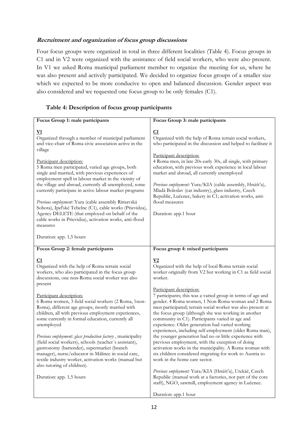# <span id="page-11-0"></span>**Recruitment and organization of focus group discussions**

Four focus groups were organized in total in three different localities (Table 4). Focus groups in C1 and in V2 were organized with the assistance of field social workers, who were also present. In V1 we asked Roma municipal parliament member to organize the meeting for us, where he was also present and actively participated. We decided to organize focus groups of a smaller size which we expected to be more conducive to open and balanced discussion. Gender aspect was also considered and we requested one focus group to be only females (C1).

# **Table 4: Description of focus group participants**

| Focus Group 1: male participants                                                                                                                                                                                                                                                                                    | Focus Group 3: male participants                                                                                                                                                                                                                                                                                                                                                                                                       |
|---------------------------------------------------------------------------------------------------------------------------------------------------------------------------------------------------------------------------------------------------------------------------------------------------------------------|----------------------------------------------------------------------------------------------------------------------------------------------------------------------------------------------------------------------------------------------------------------------------------------------------------------------------------------------------------------------------------------------------------------------------------------|
| $\underline{\mathbf{V1}}$<br>Organized through a member of municipal parliament<br>and vice-chair of Roma civic association active in the<br>village                                                                                                                                                                | C1<br>Organized with the help of Roma terrain social workers,<br>who participated in the discussion and helped to facilitate it<br>Participant description:                                                                                                                                                                                                                                                                            |
| Participant description:<br>5 Roma men participated, varied age groups, both<br>single and married, with previous experiences of<br>employment spell in labour market in the vicinity of<br>the village and abroad, currently all unemployed, some<br>currently participate in active labour market programs        | 4 Roma men, in late 20s-early 30s, all single, with primary<br>education, with previous work experience in local labour<br>market and abroad, all currently unemployed<br>Previous employment: Yura/KIA (cable assembly, Hnúšťa),<br>Mladá Boleslav (car industry), glass industry, Czech                                                                                                                                              |
| Previous employment: Yura (cable assembly Rimavská<br>Sobota), Ipeľské Tehelne (C1), cable works (Prievidza),<br>Agency DELETE (that employed on behalf of the<br>cable works in Prievidza), activation works, anti-flood<br>measures                                                                               | Republic, Lučenec, bakery in C1; activation works, anti-<br>flood measures<br>Duration: app.1 hour                                                                                                                                                                                                                                                                                                                                     |
| Duration: app. 1,5 hours                                                                                                                                                                                                                                                                                            |                                                                                                                                                                                                                                                                                                                                                                                                                                        |
| Focus Group 2: female participants                                                                                                                                                                                                                                                                                  | Focus group 4: mixed participants                                                                                                                                                                                                                                                                                                                                                                                                      |
| <u>C1</u><br>Organized with the help of Roma terrain social<br>workers, who also participated in the focus group<br>discussions, one non-Roma social worker was also<br>present                                                                                                                                     | $\underline{\textbf{V2}}$<br>Organized with the help of local Roma terrain social<br>worker originally from V2 but working in C1 as field social<br>worker.                                                                                                                                                                                                                                                                            |
| Participant description:<br>6 Roma women, 3 field social workers (2 Roma, 1non-<br>Roma), different age groups, mostly married with<br>children, all with previous employment experiences,<br>some currently in formal education, currently all<br>unemployed                                                       | Participant description:<br>7 participants; this was a varied group in terms of age and<br>gender. 4 Roma women, 1 Non-Roma woman and 2 Roma<br>men participated; terrain social worker was also present at<br>the focus group (although she was working in another<br>community in C1). Participants varied in age and<br>experience. Older generation had varied working<br>experiences, including self-employment (older Roma man), |
| Previous employment: glass production factory, municipality<br>(field social workers), schools (teacher's assistant),<br>gastronomy (bartender), supermarket (branch<br>manager), nurse/educator in Málinec in social care,<br>textile industry worker, activation works (manual but<br>also tutoring of children). | the younger generation had no or little experience with<br>previous employment, with the exception of doing<br>activation works in the municipality. A Roma woman with<br>six children considered migrating for work to Austria to<br>work in the home care sector.                                                                                                                                                                    |
| Duration: app. 1,5 hours                                                                                                                                                                                                                                                                                            | Previous employment: Yura/KIA (Hnúšťa), Utekáč, Czech<br>Republic (manual work at a factories, not part of the core<br>staff), NGO, sawmill, employment agency in Lučenec.                                                                                                                                                                                                                                                             |
|                                                                                                                                                                                                                                                                                                                     | Duration: app.1 hour                                                                                                                                                                                                                                                                                                                                                                                                                   |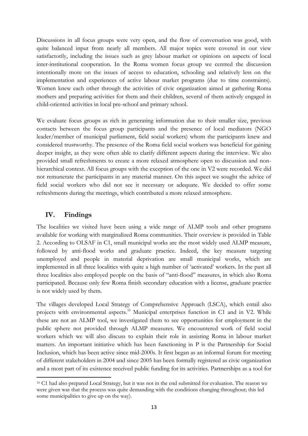Discussions in all focus groups were very open, and the flow of conversation was good, with quite balanced input from nearly all members. All major topics were covered in our view satisfactorily, including the issues such as grey labour market or opinions on aspects of local inter-institutional cooperation. In the Roma women focus group we centred the discussion intentionally more on the issues of access to education, schooling and relatively less on the implementation and experiences of active labour market programs (due to time constraints). Women knew each other through the activities of civic organization aimed at gathering Roma mothers and preparing activities for them and their children, several of them actively engaged in child-oriented activities in local pre-school and primary school.

We evaluate focus groups as rich in generating information due to their smaller size, previous contacts between the focus group participants and the presence of local mediators (NGO leader/member of municipal parliament, field social workers) whom the participants knew and considered trustworthy. The presence of the Roma field social workers was beneficial for gaining deeper insight, as they were often able to clarify different aspects during the interview. We also provided small refreshments to create a more relaxed atmosphere open to discussion and nonhierarchical context. All focus groups with the exception of the one in V2 were recorded. We did not remunerate the participants in any material manner. On this aspect we sought the advice of field social workers who did not see it necessary or adequate. We decided to offer some refreshments during the meetings, which contributed a more relaxed atmosphere.

# <span id="page-12-0"></span>**IV. Findings**

1

The localities we visited have been using a wide range of ALMP tools and other programs available for working with marginalized Roma communities. Their overview is provided in Table 2. According to OLSAF in C1, small municipal works are the most widely used ALMP measure, followed by anti-flood works and graduate practice. Indeed, the key measure targeting unemployed and people in material deprivation are small municipal works, which are implemented in all three localities with quite a high number of 'activated' workers. In the past all three localities also employed people on the basis of "anti-flood" measures, in which also Roma participated. Because only few Roma finish secondary education with a license, graduate practice is not widely used by them.

The villages developed Local Strategy of Comprehensive Approach (LSCA), which entail also projects with environmental aspects.<sup>10</sup> Municipal enterprises function in C1 and in V2. While these are not an ALMP tool, we investigated them to see opportunities for employment in the public sphere not provided through ALMP measures. We encountered work of field social workers which we will also discuss to explain their role in assisting Roma in labour market matters. An important initiative which has been functioning in P is the Partnership for Social Inclusion, which has been active since mid-2000s. It first began as an informal forum for meeting of different stakeholders in 2004 and since 2005 has been formally registered as civic organization and a most part of its existence received public funding for its activities. Partnerships as a tool for

<sup>10</sup> C1 had also prepared Local Strategy, but it was not in the end submitted for evaluation. The reason we were given was that the process was quite demanding with the conditions changing throughout; this led some municipalities to give up on the way).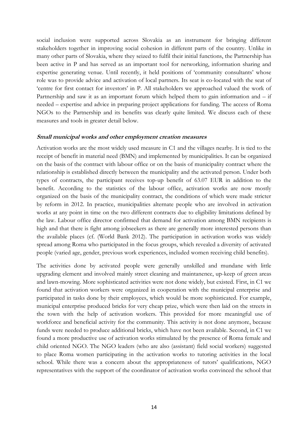social inclusion were supported across Slovakia as an instrument for bringing different stakeholders together in improving social cohesion in different parts of the country. Unlike in many other parts of Slovakia, where they seized to fulfil their initial functions, the Partnership has been active in P and has served as an important tool for networking, information sharing and expertise generating venue. Until recently, it held positions of 'community consultants' whose role was to provide advice and activation of local partners. Its seat is co-located with the seat of 'centre for first contact for investors' in P. All stakeholders we approached valued the work of Partnership and saw it as an important forum which helped them to gain information and – if needed – expertise and advice in preparing project applications for funding. The access of Roma NGOs to the Partnership and its benefits was clearly quite limited. We discuss each of these measures and tools in greater detail below.

#### <span id="page-13-0"></span>**Small municipal works and other employment creation measures**

Activation works are the most widely used measure in C1 and the villages nearby. It is tied to the receipt of benefit in material need (BMN) and implemented by municipalities. It can be organized on the basis of the contract with labour office or on the basis of municipality contract where the relationship is established directly between the municipality and the activated person. Under both types of contracts, the participant receives top-up benefit of 63.07 EUR in addition to the benefit. According to the statistics of the labour office, activation works are now mostly organized on the basis of the municipality contract, the conditions of which were made stricter by reform in 2012. In practice, municipalities alternate people who are involved in activation works at any point in time on the two different contracts due to eligibility limitations defined by the law. Labour office director confirmed that demand for activation among BMN recipients is high and that there is fight among jobseekers as there are generally more interested persons than the available places (cf. (World Bank 2012). The participation in activation works was widely spread among Roma who participated in the focus groups, which revealed a diversity of activated people (varied age, gender, previous work experiences, included women receiving child benefits).

The activities done by activated people were generally unskilled and mundane with little upgrading element and involved mainly street cleaning and maintanence, up-keep of green areas and lawn-mowing. More sophisticated activities were not done widely, but existed. First, in C1 we found that activation workers were organized in cooperation with the municipal enterprise and participated in tasks done by their employees, which would be more sophisticated. For example, municipal enterprise produced bricks for very cheap prize, which were then laid on the streets in the town with the help of activation workers. This provided for more meaningful use of workforce and beneficial activity for the community. This activity is not done anymore, because funds were needed to produce additional bricks, which have not been available. Second, in C1 we found a more productive use of activation works stimulated by the presence of Roma female and child oriented NGO. The NGO leaders (who are also (assistant) field social workers) suggested to place Roma women participating in the activation works to tutoring activities in the local school. While there was a concern about the appropriateness of tutors' qualifications, NGO representatives with the support of the coordinator of activation works convinced the school that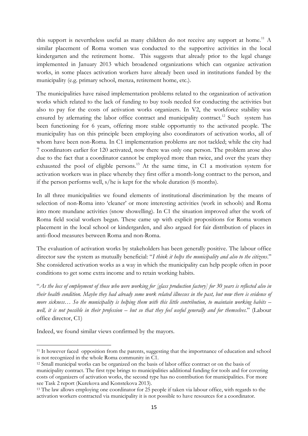this support is nevertheless useful as many children do not receive any support at home.<sup>11</sup> A similar placement of Roma women was conducted to the supportive activities in the local kindergarten and the retirement home. This suggests that already prior to the legal change implemented in January 2013 which broadened organizations which can organize activation works, in some places activation workers have already been used in institutions funded by the municipality (e.g. primary school, menza, retirement home, etc.).

The municipalities have raised implementation problems related to the organization of activation works which related to the lack of funding to buy tools needed for conducting the activities but also to pay for the costs of activation works organizers. In V2, the workforce stability was ensured by atlernating the labor office contract and municipality contract.<sup>12</sup> Such system has been functioning for 6 years, offering more stable opportuntiy to the activated people. The municipality has on this principle been employing also coordinators of activation works, all of whom have been non-Roma. In C1 implementation problems are not tackled; while the city had 7 coordinators earlier for 120 activated, now there was only one person. The problem arose also due to the fact that a coordinator cannot be employed more than twice, and over the years they exhausted the pool of eligible persons.<sup>13</sup> At the same time, in C1 a motivation system for activation workers was in place whereby they first offer a month-long contract to the person, and if the person performs well, s/he is kept for the whole duration (6 months).

In all three municipalities we found elements of institutional discrimination by the means of selection of non-Roma into 'cleaner' or more interesting activities (work in schools) and Roma into more mundane activities (snow showelling). In C1 the situation improved after the work of Roma field social workers began. These came up with explicit propositions for Roma women placement in the local school or kindergarden, and also argued for fair distribution of places in anti-flood measures between Roma and non-Roma.

The evaluation of activation works by stakeholders has been generally positive. The labour office director saw the system as mutually beneficial: "*I think it helps the municipality and also to the citizens*." She considered activation works as a way in which the municipality can help people often in poor conditions to get some extra income and to retain working habits.

"*As the loss of employment of those who were working for [glass production factory] for 30 years is reflected also in their health condition. Maybe they had already some work related illnesses in the past, but now there is evidence of more sickness… So the municipality is helping them with this little contribution, to maintain working habits – well, it is not possible in their profession – but so that they feel useful generally and for themselves*." (Labour office director, C1)

Indeed, we found similar views confirmed by the mayors.

 $\overline{a}$ 

<sup>11</sup> It however faced opposition from the parents, suggesting that the importnance of education and school is not recognized in the whole Roma community in C1.

<sup>12</sup> Small municipal works can be organized on the basis of labor office contract or on the basis of municipality contract. The first type brings to municipalities additional funding for tools and for covering costs of organizers of activation works, the second type has no contribution for municipalities. For more see Task 2 report (Kurekova and Konstekova 2013).

<sup>13</sup> The law allows employing one coordinator for 25 people if taken via labour office, with regards to the activation workers contracted via municipality it is not possible to have resources for a coordinator.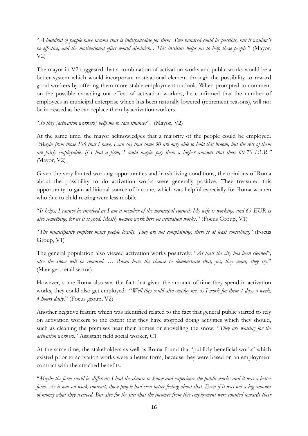"*A hundred of people have income that is indispensable for them. Two hundred could be possible, but it wouldn´t be effective, and the motivational effect would diminish... This institute helps me to help these people*." (Mayor,  $V2$ 

The mayor in V2 suggested that a combination of activation works and public works would be a better system which would incorporate motivational element through the possibility to reward good workers by offering them more stable employment outlook. When prompted to comment on the possible crowding out effect of activation workers, he confirmed that the number of employees in municipal enterprise which has been naturally lowered (retirement reasons), will not be increased as he can replace them by activation workers.

"*So they [activation workers] help me to save finances*". (Mayor, V2)

At the same time, the mayor acknowledges that a majority of the people could be employed. *"Maybe from those 106 that I have, I can say that some 30 are only able to hold this broom, but the rest of them are fairly employable. If I had a firm, I could maybe pay them a higher amount that these 60-70 EUR." (*Mayor, V2)

Given the very limited working opportunities and harsh living conditions, the opinions of Roma about the possibility to do activation works were generally positive. They treasured this opportunity to gain additional source of income, which was helpful especially for Roma women who due to child rearing were less mobile.

"*It helps; I cannot be involved as I am a member of the municipal council. My wife is working, and 63 EUR is also something, for us it is good. Mostly women work here on activation works*." (Focus Group, V1)

"*The municipality employs many people locally. They are not complaining, there is at least something*." (Focus Group, V1)

The general population also viewed activation works positively: "*At least the city has been cleaned",*  also the snow will be removed. ... Roma have the chance to demonstrate that, yes, they want, they try." (Manager, retail sector)

However, some Roma also saw the fact that given the amount of time they spend in activation works, they could also get employed: "*Well they could also employ me, as I work for them 4 days a week, 4 hours daily*." (Focus group, V2)

Another negative feature which was identified related to the fact that general public started to rely on activation workers to the extent that they have stopped doing activities which they should, such as cleaning the premises near their homes or shovelling the snow. "*They are waiting for the activation workers*." Assistant field social worker, C1

At the same time, the stakeholders as well as Roma found that 'publicly beneficial works' which existed prior to activation works were a better form, because they were based on an employment contract with the attached benefits.

"*Maybe the form could be different; I had the chance to know and experience the public works and it was a better form. As it was on work contract, those people had even better feeling about that. Even if it was not a big amount of money what they received. But also for the fact that the incomes from this employment were counted towards their*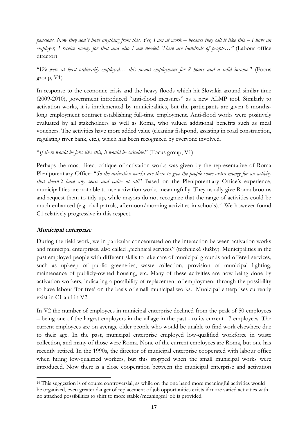*pensions. Now they don´t have anything from this. Yes, I am at work – because they call it like this – I have an*  employer, I receive money for that and also I am needed. There are hundreds of people..." (Labour office director)

"*We were at least ordinarily employed… this meant employment for 8 hours and a solid income*." (Focus group, V1)

In response to the economic crisis and the heavy floods which hit Slovakia around similar time (2009-2010), government introduced "anti-flood measures" as a new ALMP tool. Similarly to activation works, it is implemented by municipalities, but the participants are given 6 monthslong employment contract establishing full-time employment. Anti-flood works were positively evaluated by all stakeholders as well as Roma, who valued additional benefits such as meal vouchers. The activities have more added value (cleaning fishpond, assisting in road construction, regulating river bank, etc.), which has been recognized by everyone involved.

"*If there would be jobs like this, it would be suitable*." (Focus group, V1)

Perhaps the most direct critique of activation works was given by the representative of Roma Plenipotentiary Office: "*So the activation works are there to give the people some extra money for an activity that doesn´t have any sense and value at all*." Based on the Plenipotentiary Office's experience, municipalities are not able to use activation works meaningfully. They usually give Roma brooms and request them to tidy up, while mayors do not recognize that the range of activities could be much enhanced (e.g. civil patrols, afternoon/morning activities in schools). <sup>14</sup> We however found C1 relatively progressive in this respect.

# <span id="page-16-0"></span>**Municipal enterprise**

1

During the field work, we in particular concentrated on the interaction between activation works and municipal enterprises, also called "technical services" (technické služby). Municipalities in the past employed people with different skills to take care of municipal grounds and offered services, such as upkeep of public greeneries, waste collection, provision of municipal lighting, maintenance of publicly-owned housing, etc. Many of these activities are now being done by activation workers, indicating a possibility of replacement of employment through the possibility to have labour 'for free' on the basis of small municipal works. Municipal enterprises currently exist in C1 and in V2.

In V2 the number of employees in municipal enterprise declined from the peak of 50 employees – being one of the largest employers in the village in the past - to its current 17 employees. The current employees are on average older people who would be unable to find work elsewhere due to their age. In the past, municipal enterprise employed low-qualified workforce in waste collection, and many of those were Roma. None of the current employees are Roma, but one has recently retired. In the 1990s, the director of municipal enterprise cooperated with labour office when hiring low-qualified workers, but this stopped when the small municipal works were introduced. Now there is a close cooperation between the municipal enterprise and activation

<sup>14</sup> This suggestion is of course controversial, as while on the one hand more meaningful activities would be organized, even greater danger of replacement of job opportunities exists if more varied activities with no attached possibilities to shift to more stable/meaningful job is provided.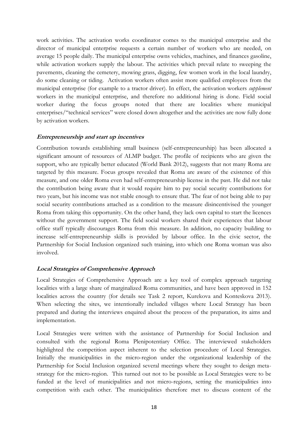work activities. The activation works coordinator comes to the municipal enterprise and the director of municipal enterprise requests a certain number of workers who are needed, on average 15 people daily. The municipal enterprise owns vehicles, machines, and finances gasoline, while activation workers supply the labour. The activities which prevail relate to sweeping the pavements, cleaning the cemetery, mowing grass, digging, few women work in the local laundry, do some cleaning or tiding. Activation workers often assist more qualified employees from the municipal enterprise (for example to a tractor driver). In effect, the activation workers *supplement*  workers in the municipal enterprise, and therefore no additional hiring is done. Field social worker during the focus groups noted that there are localities where municipal enterprises/"technical services" were closed down altogether and the activities are now fully done by activation workers.

# <span id="page-17-0"></span>**Entrepreneurship and start up incentives**

Contribution towards establishing small business (self-entrepreneurship) has been allocated a significant amount of resources of ALMP budget. The profile of recipients who are given the support, who are typically better educated (World Bank 2012), suggests that not many Roma are targeted by this measure. Focus groups revealed that Roma are aware of the existence of this measure, and one older Roma even had self-entrepreneurship license in the past. He did not take the contribution being aware that it would require him to pay social security contributions for two years, but his income was not stable enough to ensure that. The fear of not being able to pay social security contributions attached as a condition to the measure disincentivised the younger Roma from taking this opportunity. On the other hand, they lack own capital to start the licences without the government support. The field social workers shared their experiences that labour office staff typically discourages Roma from this measure. In addition, no capacity building to increase self-entrepreneurship skills is provided by labour office. In the civic sector, the Partnership for Social Inclusion organized such training, into which one Roma woman was also involved.

### <span id="page-17-1"></span>**Local Strategies of Comprehensive Approach**

Local Strategies of Comprehensive Approach are a key tool of complex approach targeting localities with a large share of marginalized Roma communities, and have been approved in 152 localities across the country (for details see Task 2 report, Kurekova and Konteskova 2013). When selecting the sites, we intentionally included villages where Local Strategy has been prepared and during the interviews enquired about the process of the preparation, its aims and implementation.

Local Strategies were written with the assistance of Partnership for Social Inclusion and consulted with the regional Roma Plenipotentiary Office. The interviewed stakeholders highlighted the competition aspect inherent to the selection procedure of Local Strategies. Initially the municipalities in the micro-region under the organizational leadership of the Partnership for Social Inclusion organized several meetings where they sought to design metastrategy for the micro-region. This turned out not to be possible as Local Strategies were to be funded at the level of municipalities and not micro-regions, setting the municipalities into competition with each other. The municipalities therefore met to discuss content of the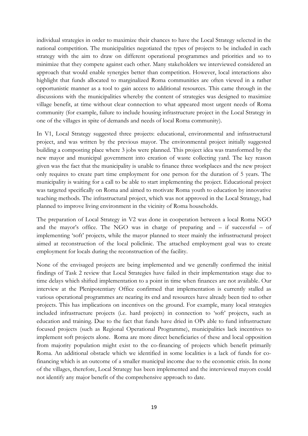individual strategies in order to maximize their chances to have the Local Strategy selected in the national competition. The municipalities negotiated the types of projects to be included in each strategy with the aim to draw on different operational programmes and priorities and so to minimize that they compete against each other. Many stakeholders we interviewed considered an approach that would enable synergies better than competition. However, local interactions also highlight that funds allocated to marginalized Roma communities are often viewed in a rather opportunistic manner as a tool to gain access to additional resources. This came through in the discussions with the municipalities whereby the content of strategies was designed to maximize village benefit, at time without clear connection to what appeared most urgent needs of Roma community (for example, failure to include housing infrastructure project in the Local Strategy in one of the villages in spite of demands and needs of local Roma community).

In V1, Local Strategy suggested three projects: educational, environmental and infrastructural project, and was written by the previous mayor. The environmental project initially suggested building a composting place where 3 jobs were planned. This project idea was transformed by the new mayor and municipal government into creation of waste collecting yard. The key reason given was the fact that the municipality is unable to finance three workplaces and the new project only requires to create part time employment for one person for the duration of 5 years. The municipality is waiting for a call to be able to start implementing the project. Educational project was targeted specifically on Roma and aimed to motivate Roma youth to education by innovative teaching methods. The infrastructural project, which was not approved in the Local Strategy, had planned to improve living environment in the vicinity of Roma households.

The preparation of Local Strategy in V2 was done in cooperation between a local Roma NGO and the mayor's office. The NGO was in charge of preparing and – if successful – of implementing 'soft' projects, while the mayor planned to steer mainly the infrastructural project aimed at reconstruction of the local policlinic. The attached employment goal was to create employment for locals during the reconstruction of the facility.

None of the envisaged projects are being implemented and we generally confirmed the initial findings of Task 2 review that Local Strategies have failed in their implementation stage due to time delays which shifted implementation to a point in time when finances are not available. Our interview at the Plenipotentiary Office confirmed that implementation is currently stalled as various operational programmes are nearing its end and resources have already been tied to other projects. This has implications on incentives on the ground. For example, many local strategies included infrastructure projects (i.e. hard projects) in connection to 'soft' projects, such as education and training. Due to the fact that funds have dried in OPs able to fund infrastructure focused projects (such as Regional Operational Programme), municipalities lack incentives to implement soft projects alone. Roma are more direct beneficiaries of these and local opposition from majority population might exist to the co-financing of projects which benefit primarily Roma. An additional obstacle which we identified in some localities is a lack of funds for cofinancing which is an outcome of a smaller municipal income due to the economic crisis. In none of the villages, therefore, Local Strategy has been implemented and the interviewed mayors could not identify any major benefit of the comprehensive approach to date.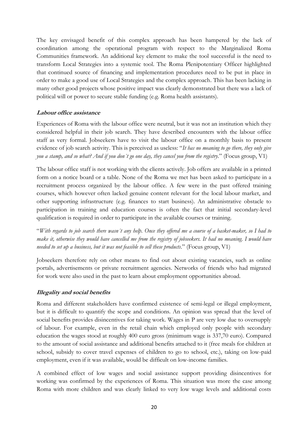The key envisaged benefit of this complex approach has been hampered by the lack of coordination among the operational program with respect to the Marginalized Roma Communities framework. An additional key element to make the tool successful is the need to transform Local Strategies into a systemic tool. The Roma Plenipotentiary Officer highlighted that continued source of financing and implementation procedures need to be put in place in order to make a good use of Local Strategies and the complex approach. This has been lacking in many other good projects whose positive impact was clearly demonstrated but there was a lack of political will or power to secure stable funding (e.g. Roma health assistants).

# <span id="page-19-0"></span>**Labour office assistance**

Experiences of Roma with the labour office were neutral, but it was not an institution which they considered helpful in their job search. They have described encounters with the labour office staff as very formal. Jobseekers have to visit the labour office on a monthly basis to present evidence of job search activity. This is perceived as useless: "*It has no meaning to go there, they only give you a stamp, and so what? And if you don´t go one day, they cancel you from the registry*." (Focus group, V1)

The labour office staff is not working with the clients actively. Job offers are available in a printed form on a notice board or a table. None of the Roma we met has been asked to participate in a recruitment process organized by the labour office. A few were in the past offered training courses, which however often lacked genuine content relevant for the local labour market, and other supporting infrastructure (e.g. finances to start business). An administrative obstacle to participation in training and education courses is often the fact that initial secondary-level qualification is required in order to participate in the available courses or training.

"*With regards to job search there wasn´t any help. Once they offered me a course of a basket-maker, so I had to make it, otherwise they would have cancelled me from the registry of jobseekers. It had no meaning. I would have needed to set up a business, but it was not feasible to sell these products*." (Focus group, V1)

Jobseekers therefore rely on other means to find out about existing vacancies, such as online portals, advertisements or private recruitment agencies. Networks of friends who had migrated for work were also used in the past to learn about employment opportunities abroad.

### <span id="page-19-1"></span>**Illegality and social benefits**

Roma and different stakeholders have confirmed existence of semi-legal or illegal employment, but it is difficult to quantify the scope and conditions. An opinion was spread that the level of social benefits provides disincentives for taking work. Wages in P are very low due to oversupply of labour. For example, even in the retail chain which employed only people with secondary education the wages stood at roughly 400 euro gross (minimum wage is 337,70 euro). Compared to the amount of social assistance and additional benefits attached to it (free meals for children at school, subsidy to cover travel expenses of children to go to school, etc.), taking on low-paid employment, even if it was available, would be difficult on low-income families.

A combined effect of low wages and social assistance support providing disincentives for working was confirmed by the experiences of Roma. This situation was more the case among Roma with more children and was clearly linked to very low wage levels and additional costs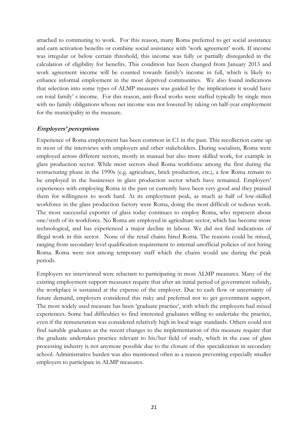attached to commuting to work. For this reason, many Roma preferred to get social assistance and earn activation benefits or combine social assistance with 'work agreement' work. If income was irregular or below certain threshold, this income was fully or partially disregarded in the calculation of eligibility for benefits. This condition has been changed from January 2013 and work agreement income will be counted towards family's income in full, which is likely to enhance informal employment in the most deprived communities. We also found indications that selection into some types of ALMP measures was guided by the implications it would have on total family' s income. For this reason, anti-flood works were staffed typically by single men with no family obligations whose net income was not lowered by taking on half-year employment for the municipality in the measure.

# <span id="page-20-0"></span>**Employers' perceptions**

Experience of Roma employment has been common in C1 in the past. This recollection came up in most of the interviews with employers and other stakeholders. During socialism, Roma were employed across different sectors, mostly in manual but also more skilled work, for example in glass production sector. While most sectors shed Roma workforce among the first during the restructuring phase in the 1990s (e.g. agriculture, brick production, etc.), a few Roma remain to be employed in the businesses in glass production sector which have remained. Employers' experiences with employing Roma in the past or currently have been very good and they praised them for willingness to work hard. At its employment peak, as much as half of low-skilled workforce in the glass production factory were Roma, doing the most difficult or tedious work. The most successful exporter of glass today continues to employ Roma, who represent about one/sixth of its workforce. No Roma are employed in agriculture sector, which has become more technological, and has experienced a major decline in labour. We did not find indications of illegal work in this sector. None of the retail chains hired Roma. The reasons could be mixed, ranging from secondary level qualification requirement to internal unofficial policies of not hiring Roma. Roma were not among temporary staff which the chains would use during the peak periods.

Employers we interviewed were reluctant to participating in most ALMP measures. Many of the existing employment support measures require that after an initial period of government subsidy, the workplace is sustained at the expense of the employer. Due to cash flow or uncertainty of future demand, employers considered this risky and preferred not to get government support. The most widely used measure has been 'graduate practice', with which the employers had mixed experiences. Some had difficulties to find interested graduates willing to undertake the practice, even if the remuneration was considered relatively high in local wage standards. Others could not find suitable graduates as the recent changes to the implementation of this measure require that the graduate undertakes practice relevant to his/her field of study, which in the case of glass processing industry is not anymore possible due to the closure of this specialization in secondary school. Administrative burden was also mentioned often as a reason preventing especially smaller employers to participate in ALMP measures.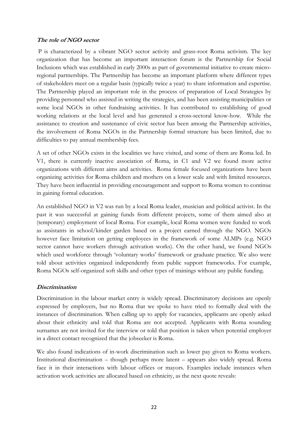### <span id="page-21-0"></span>**The role of NGO sector**

P is characterized by a vibrant NGO sector activity and grass-root Roma activism. The key organization that has become an important interaction forum is the Partnership for Social Inclusions which was established in early 2000s as part of governmental initiative to create microregional partnerships. The Partnership has become an important platform where different types of stakeholders meet on a regular basis (typically twice a year) to share information and expertise. The Partnership played an important role in the process of preparation of Local Strategies by providing personnel who assisted in writing the strategies, and has been assisting municipalities or some local NGOs in other fundraising activities. It has contributed to establishing of good working relations at the local level and has generated a cross-sectoral know-how. While the assistance to creation and sustenance of civic sector has been among the Partnership activities, the involvement of Roma NGOs in the Partnership formal structure has been limited, due to difficulties to pay annual membership fees.

A set of other NGOs exists in the localities we have visited, and some of them are Roma led. In V1, there is currently inactive association of Roma, in C1 and V2 we found more active organizations with different aims and activities. Roma female focused organizations have been organizing activities for Roma children and mothers on a lower scale and with limited resources. They have been influential in providing encouragement and support to Roma women to continue in gaining formal education.

An established NGO in V2 was run by a local Roma leader, musician and political activist. In the past it was successful at gaining funds from different projects, some of them aimed also at (temporary) employment of local Roma. For example, local Roma women were funded to work as assistants in school/kinder garden based on a project earned through the NGO. NGOs however face limitation on getting employees in the framework of some ALMPs (e.g. NGO sector cannot have workers through activation works). On the other hand, we found NGOs which used workforce through 'voluntary works' framework or graduate practice. We also were told about activities organized independently from public support frameworks. For example, Roma NGOs self-organized soft skills and other types of trainings without any public funding.

# <span id="page-21-1"></span>**Discrimination**

Discrimination in the labour market entry is widely spread. Discriminatory decisions are openly expressed by employers, but no Roma that we spoke to have tried to formally deal with the instances of discrimination. When calling up to apply for vacancies, applicants are openly asked about their ethnicity and told that Roma are not accepted. Applicants with Roma sounding surnames are not invited for the interview or told that position is taken when potential employer in a direct contact recognized that the jobseeker is Roma.

We also found indications of in-work discrimination such as lower pay given to Roma workers. Institutional discrimination – though perhaps more latent – appears also widely spread. Roma face it in their interactions with labour offices or mayors. Examples include instances when activation work activities are allocated based on ethnicity, as the next quote reveals: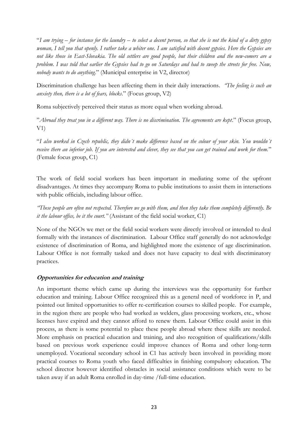"*I am trying – for instance for the laundry – to select a decent person, so that she is not the kind of a dirty gypsy woman, I tell you that openly. I rather take a whiter one. I am satisfied with decent gypsies. Here the Gypsies are not like those in East-Slovakia. The old settlers are good people, but their children and the new-comers are a problem. I was told that earlier the Gypsies had to go on Saturdays and had to sweep the streets for free. Now, nobody wants to do anything*." (Municipal enterprise in V2, director)

Discrimination challenge has been affecting them in their daily interactions. *"The feeling is such an anxiety then, there is a lot of fears, blocks*." (Focus group, V2)

Roma subjectively perceived their status as more equal when working abroad.

"*Abroad they treat you in a different way. There is no discrimination. The agreements are kept*." (Focus group,  $V1$ 

"*I also worked in Czech republic, they didn´t make difference based on the colour of your skin. You wouldn´t receive there an inferior job. If you are interested and clever, they see that you can get trained and work for them.*" (Female focus group, C1)

The work of field social workers has been important in mediating some of the upfront disadvantages. At times they accompany Roma to public institutions to assist them in interactions with public officials, including labour office.

*"These people are often not respected. Therefore we go with them, and then they take them completely differently. Be it the labour office, be it the court."* (Assistant of the field social worker, C1)

None of the NGOs we met or the field social workers were directly involved or intended to deal formally with the instances of discrimination. Labour Office staff generally do not acknowledge existence of discrimination of Roma, and highlighted more the existence of age discrimination. Labour Office is not formally tasked and does not have capacity to deal with discriminatory practices.

# <span id="page-22-0"></span>**Opportunities for education and training**

An important theme which came up during the interviews was the opportunity for further education and training. Labour Office recognized this as a general need of workforce in P, and pointed out limited opportunities to offer re-certification courses to skilled people. For example, in the region there are people who had worked as welders, glass processing workers, etc., whose licenses have expired and they cannot afford to renew them. Labour Office could assist in this process, as there is some potential to place these people abroad where these skills are needed. More emphasis on practical education and training, and also recognition of qualifications/skills based on previous work experience could improve chances of Roma and other long-term unemployed. Vocational secondary school in C1 has actively been involved in providing more practical courses to Roma youth who faced difficulties in finishing compulsory education. The school director however identified obstacles in social assistance conditions which were to be taken away if an adult Roma enrolled in day-time /full-time education.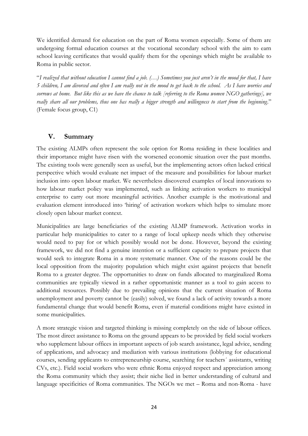We identified demand for education on the part of Roma women especially. Some of them are undergoing formal education courses at the vocational secondary school with the aim to earn school leaving certificates that would qualify them for the openings which might be available to Roma in public sector.

"*I realized that without education I cannot find a job. (…) Sometimes you just aren't in the mood for that, I have 5 children, I am divorced and often I am really not in the mood to get back to the school. As I have worries and sorrows at home. But like this as we have the chance to talk [referring to the Roma women NGO gatherings], we really share all our problems, thus one has really a bigger strength and willingness to start from the beginning*." (Female focus group, C1)

# **V. Summary**

<span id="page-23-0"></span>The existing ALMPs often represent the sole option for Roma residing in these localities and their importance might have risen with the worsened economic situation over the past months. The existing tools were generally seen as useful, but the implementing actors often lacked critical perspective which would evaluate net impact of the measure and possibilities for labour market inclusion into open labour market. We nevertheless discovered examples of local innovations to how labour market policy was implemented, such as linking activation workers to municipal enterprise to carry out more meaningful activities. Another example is the motivational and evaluation element introduced into 'hiring' of activation workers which helps to simulate more closely open labour market context.

Municipalities are large beneficiaries of the existing ALMP framework. Activation works in particular help municipalities to cater to a range of local upkeep needs which they otherwise would need to pay for or which possibly would not be done. However, beyond the existing framework, we did not find a genuine intention or a sufficient capacity to prepare projects that would seek to integrate Roma in a more systematic manner. One of the reasons could be the local opposition from the majority population which might exist against projects that benefit Roma to a greater degree. The opportunities to draw on funds allocated to marginalized Roma communities are typically viewed in a rather opportunistic manner as a tool to gain access to additional resources. Possibly due to prevailing opinions that the current situation of Roma unemployment and poverty cannot be (easily) solved, we found a lack of activity towards a more fundamental change that would benefit Roma, even if material conditions might have existed in some municipalities.

A more strategic vision and targeted thinking is missing completely on the side of labour offices. The most direct assistance to Roma on the ground appears to be provided by field social workers who supplement labour offices in important aspects of job search assistance, legal advice, sending of applications, and advocacy and mediation with various institutions (lobbying for educational courses, sending applicants to entrepreneurship course, searching for teachers´ assistants, writing CVs, etc.). Field social workers who were ethnic Roma enjoyed respect and appreciation among the Roma community which they assist; their niche lied in better understanding of cultural and language specificities of Roma communities. The NGOs we met – Roma and non-Roma - have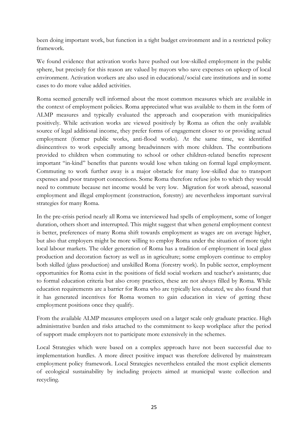been doing important work, but function in a tight budget environment and in a restricted policy framework.

We found evidence that activation works have pushed out low-skilled employment in the public sphere, but precisely for this reason are valued by mayors who save expenses on upkeep of local environment. Activation workers are also used in educational/social care institutions and in some cases to do more value added activities.

Roma seemed generally well informed about the most common measures which are available in the context of employment policies. Roma appreciated what was available to them in the form of ALMP measures and typically evaluated the approach and cooperation with municipalities positively. While activation works are viewed positively by Roma as often the only available source of legal additional income, they prefer forms of engagement closer to or providing actual employment (former public works, anti-flood works). At the same time, we identified disincentives to work especially among breadwinners with more children. The contributions provided to children when commuting to school or other children-related benefits represent important "in-kind" benefits that parents would lose when taking on formal legal employment. Commuting to work further away is a major obstacle for many low-skilled due to transport expenses and poor transport connections. Some Roma therefore refuse jobs to which they would need to commute because net income would be very low. Migration for work abroad, seasonal employment and illegal employment (construction, forestry) are nevertheless important survival strategies for many Roma.

In the pre-crisis period nearly all Roma we interviewed had spells of employment, some of longer duration, others short and interrupted. This might suggest that when general employment context is better, preferences of many Roma shift towards employment as wages are on average higher, but also that employers might be more willing to employ Roma under the situation of more tight local labour markets. The older generation of Roma has a tradition of employment in local glass production and decoration factory as well as in agriculture; some employers continue to employ both skilled (glass production) and unskilled Roma (forestry work). In public sector, employment opportunities for Roma exist in the positions of field social workers and teacher's assistants; due to formal education criteria but also crony practices, these are not always filled by Roma. While education requirements are a barrier for Roma who are typically less educated, we also found that it has generated incentives for Roma women to gain education in view of getting these employment positions once they qualify.

From the available ALMP measures employers used on a larger scale only graduate practice. High administrative burden and risks attached to the commitment to keep workplace after the period of support made employers not to participate more extensively in the schemes.

Local Strategies which were based on a complex approach have not been successful due to implementation hurdles. A more direct positive impact was therefore delivered by mainstream employment policy framework. Local Strategies nevertheless entailed the most explicit elements of ecological sustainability by including projects aimed at municipal waste collection and recycling.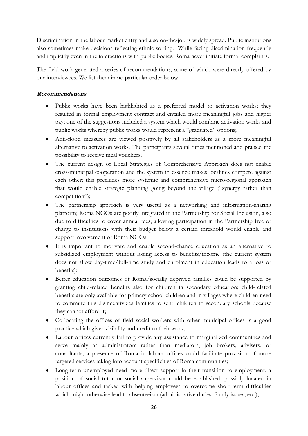Discrimination in the labour market entry and also on-the-job is widely spread. Public institutions also sometimes make decisions reflecting ethnic sorting. While facing discrimination frequently and implicitly even in the interactions with public bodies, Roma never initiate formal complaints.

The field work generated a series of recommendations, some of which were directly offered by our interviewees. We list them in no particular order below.

# <span id="page-25-0"></span>**Recommendations**

- Public works have been highlighted as a preferred model to activation works; they resulted in formal employment contract and entailed more meaningful jobs and higher pay; one of the suggestions included a system which would combine activation works and public works whereby public works would represent a "graduated" options;
- Anti-flood measures are viewed positively by all stakeholders as a more meaningful alternative to activation works. The participants several times mentioned and praised the possibility to receive meal vouchers;
- The current design of Local Strategies of Comprehensive Approach does not enable cross-municipal cooperation and the system in essence makes localities compete against each other; this precludes more systemic and comprehensive micro-regional approach that would enable strategic planning going beyond the village ("synergy rather than competition");
- The partnership approach is very useful as a networking and information-sharing platform; Roma NGOs are poorly integrated in the Partnership for Social Inclusion, also due to difficulties to cover annual fees; allowing participation in the Partnership free of charge to institutions with their budget below a certain threshold would enable and support involvement of Roma NGOs;
- It is important to motivate and enable second-chance education as an alternative to subsidized employment without losing access to benefits/income (the current system does not allow day-time/full-time study and enrolment in education leads to a loss of benefits);
- Better education outcomes of Roma/socially deprived families could be supported by granting child-related benefits also for children in secondary education; child-related benefits are only available for primary school children and in villages where children need to commute this disincentivizes families to send children to secondary schools because they cannot afford it;
- Co-locating the offices of field social workers with other municipal offices is a good practice which gives visibility and credit to their work;
- Labour offices currently fail to provide any assistance to marginalized communities and serve mainly as administrators rather than mediators, job brokers, advisers, or consultants; a presence of Roma in labour offices could facilitate provision of more targeted services taking into account specificities of Roma communities;
- Long-term unemployed need more direct support in their transition to employment, a position of social tutor or social supervisor could be established, possibly located in labour offices and tasked with helping employees to overcome short-term difficulties which might otherwise lead to absenteeism (administrative duties, family issues, etc.);